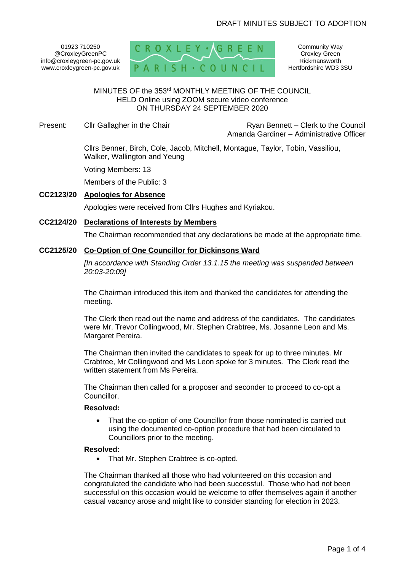# DRAFT MINUTES SUBJECT TO ADOPTION

01923 710250 @CroxleyGreenPC info@croxleygreen-pc.gov.uk www.croxleygreen-pc.gov.uk



Community Way Croxley Green Rickmansworth Hertfordshire WD3 3SU

# MINUTES OF the 353<sup>rd</sup> MONTHLY MEETING OF THE COUNCIL HELD Online using ZOOM secure video conference ON THURSDAY 24 SEPTEMBER 2020

Present: Cllr Gallagher in the Chair **Ryan Bennett** – Clerk to the Council Amanda Gardiner – Administrative Officer

> Cllrs Benner, Birch, Cole, Jacob, Mitchell, Montague, Taylor, Tobin, Vassiliou, Walker, Wallington and Yeung

Voting Members: 13

Members of the Public: 3

## **CC2123/20 Apologies for Absence**

Apologies were received from Cllrs Hughes and Kyriakou.

#### **CC2124/20 Declarations of Interests by Members**

The Chairman recommended that any declarations be made at the appropriate time.

# **CC2125/20 Co-Option of One Councillor for Dickinsons Ward**

*[In accordance with Standing Order 13.1.15 the meeting was suspended between 20:03-20:09]*

The Chairman introduced this item and thanked the candidates for attending the meeting.

The Clerk then read out the name and address of the candidates. The candidates were Mr. Trevor Collingwood, Mr. Stephen Crabtree, Ms. Josanne Leon and Ms. Margaret Pereira.

The Chairman then invited the candidates to speak for up to three minutes. Mr Crabtree, Mr Collingwood and Ms Leon spoke for 3 minutes. The Clerk read the written statement from Ms Pereira.

The Chairman then called for a proposer and seconder to proceed to co-opt a Councillor.

#### **Resolved:**

That the co-option of one Councillor from those nominated is carried out using the documented co-option procedure that had been circulated to Councillors prior to the meeting.

#### **Resolved:**

• That Mr. Stephen Crabtree is co-opted.

The Chairman thanked all those who had volunteered on this occasion and congratulated the candidate who had been successful. Those who had not been successful on this occasion would be welcome to offer themselves again if another casual vacancy arose and might like to consider standing for election in 2023.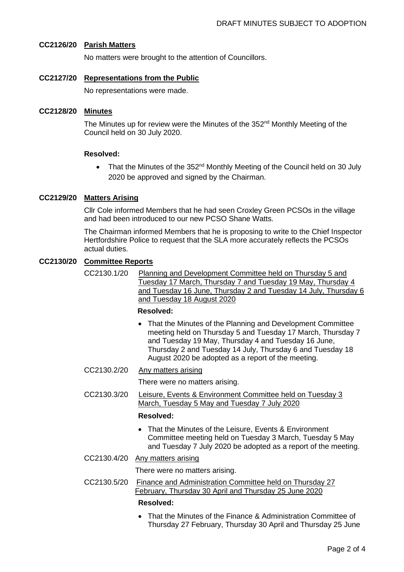# **CC2126/20 Parish Matters**

No matters were brought to the attention of Councillors.

**CC2127/20 Representations from the Public**

No representations were made.

# **CC2128/20 Minutes**

The Minutes up for review were the Minutes of the 352<sup>nd</sup> Monthly Meeting of the Council held on 30 July 2020.

# **Resolved:**

• That the Minutes of the 352<sup>nd</sup> Monthly Meeting of the Council held on 30 July 2020 be approved and signed by the Chairman.

# **CC2129/20 Matters Arising**

Cllr Cole informed Members that he had seen Croxley Green PCSOs in the village and had been introduced to our new PCSO Shane Watts.

The Chairman informed Members that he is proposing to write to the Chief Inspector Hertfordshire Police to request that the SLA more accurately reflects the PCSOs actual duties.

## **CC2130/20 Committee Reports**

CC2130.1/20 Planning and Development Committee held on Thursday 5 and Tuesday 17 March, Thursday 7 and Tuesday 19 May, Thursday 4 and Tuesday 16 June, Thursday 2 and Tuesday 14 July, Thursday 6 and Tuesday 18 August 2020

## **Resolved:**

- That the Minutes of the Planning and Development Committee meeting held on Thursday 5 and Tuesday 17 March, Thursday 7 and Tuesday 19 May, Thursday 4 and Tuesday 16 June, Thursday 2 and Tuesday 14 July, Thursday 6 and Tuesday 18 August 2020 be adopted as a report of the meeting.
- CC2130.2/20 Any matters arising

There were no matters arising.

CC2130.3/20 Leisure, Events & Environment Committee held on Tuesday 3 March, Tuesday 5 May and Tuesday 7 July 2020

## **Resolved:**

- That the Minutes of the Leisure, Events & Environment Committee meeting held on Tuesday 3 March, Tuesday 5 May and Tuesday 7 July 2020 be adopted as a report of the meeting.
- CC2130.4/20 Any matters arising

There were no matters arising.

- CC2130.5/20 Finance and Administration Committee held on Thursday 27 February, Thursday 30 April and Thursday 25 June 2020 **Resolved:**
	- That the Minutes of the Finance & Administration Committee of Thursday 27 February, Thursday 30 April and Thursday 25 June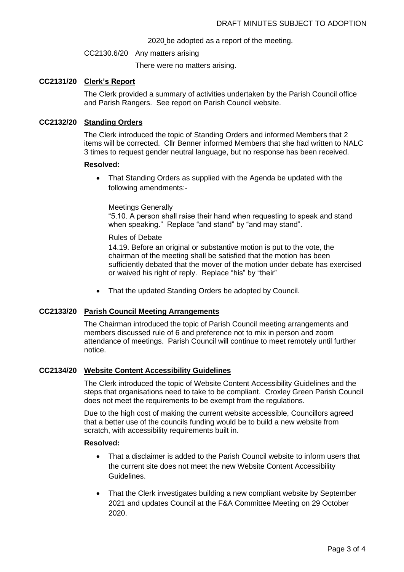#### 2020 be adopted as a report of the meeting.

#### CC2130.6/20 Any matters arising

There were no matters arising.

## **CC2131/20 Clerk's Report**

The Clerk provided a summary of activities undertaken by the Parish Council office and Parish Rangers. See report on Parish Council website.

# **CC2132/20 Standing Orders**

The Clerk introduced the topic of Standing Orders and informed Members that 2 items will be corrected. Cllr Benner informed Members that she had written to NALC 3 times to request gender neutral language, but no response has been received.

## **Resolved:**

• That Standing Orders as supplied with the Agenda be updated with the following amendments:-

## Meetings Generally

"5.10. A person shall raise their hand when requesting to speak and stand when speaking." Replace "and stand" by "and may stand".

## Rules of Debate

14.19. Before an original or substantive motion is put to the vote, the chairman of the meeting shall be satisfied that the motion has been sufficiently debated that the mover of the motion under debate has exercised or waived his right of reply. Replace "his" by "their"

• That the updated Standing Orders be adopted by Council.

# **CC2133/20 Parish Council Meeting Arrangements**

The Chairman introduced the topic of Parish Council meeting arrangements and members discussed rule of 6 and preference not to mix in person and zoom attendance of meetings. Parish Council will continue to meet remotely until further notice.

## **CC2134/20 Website Content Accessibility Guidelines**

The Clerk introduced the topic of Website Content Accessibility Guidelines and the steps that organisations need to take to be compliant. Croxley Green Parish Council does not meet the requirements to be exempt from the regulations.

Due to the high cost of making the current website accessible, Councillors agreed that a better use of the councils funding would be to build a new website from scratch, with accessibility requirements built in.

# **Resolved:**

- That a disclaimer is added to the Parish Council website to inform users that the current site does not meet the new Website Content Accessibility Guidelines.
- That the Clerk investigates building a new compliant website by September 2021 and updates Council at the F&A Committee Meeting on 29 October 2020.